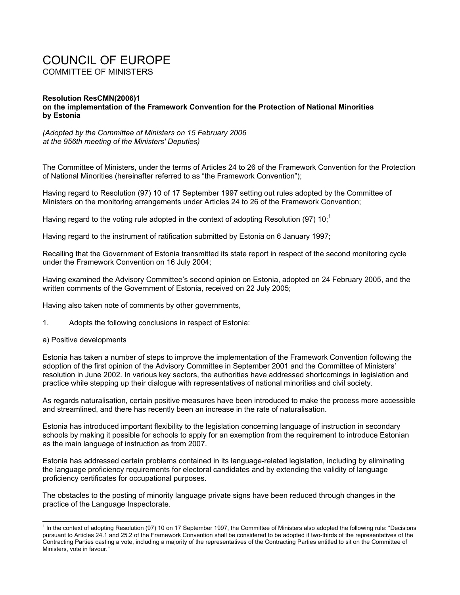## COUNCIL OF EUROPE COMMITTEE OF MINISTERS

## **Resolution ResCMN(2006)1 on the implementation of the Framework Convention for the Protection of National Minorities by Estonia**

*(Adopted by the Committee of Ministers on 15 February 2006 at the 956th meeting of the Ministers' Deputies)* 

The Committee of Ministers, under the terms of Articles 24 to 26 of the Framework Convention for the Protection of National Minorities (hereinafter referred to as "the Framework Convention");

Having regard to Resolution (97) 10 of 17 September 1997 setting out rules adopted by the Committee of Ministers on the monitoring arrangements under Articles 24 to 26 of the Framework Convention;

Having regard to the voting rule adopted in the context of adopting Resolution (97) 10;<sup>1</sup>

Having regard to the instrument of ratification submitted by Estonia on 6 January 1997;

Recalling that the Government of Estonia transmitted its state report in respect of the second monitoring cycle under the Framework Convention on 16 July 2004;

Having examined the Advisory Committee's second opinion on Estonia, adopted on 24 February 2005, and the written comments of the Government of Estonia, received on 22 July 2005;

Having also taken note of comments by other governments,

- 1. Adopts the following conclusions in respect of Estonia:
- a) Positive developments

l

Estonia has taken a number of steps to improve the implementation of the Framework Convention following the adoption of the first opinion of the Advisory Committee in September 2001 and the Committee of Ministers' resolution in June 2002. In various key sectors, the authorities have addressed shortcomings in legislation and practice while stepping up their dialogue with representatives of national minorities and civil society.

As regards naturalisation, certain positive measures have been introduced to make the process more accessible and streamlined, and there has recently been an increase in the rate of naturalisation.

Estonia has introduced important flexibility to the legislation concerning language of instruction in secondary schools by making it possible for schools to apply for an exemption from the requirement to introduce Estonian as the main language of instruction as from 2007.

Estonia has addressed certain problems contained in its language-related legislation, including by eliminating the language proficiency requirements for electoral candidates and by extending the validity of language proficiency certificates for occupational purposes.

The obstacles to the posting of minority language private signs have been reduced through changes in the practice of the Language Inspectorate.

<sup>&</sup>lt;sup>1</sup> In the context of adopting Resolution (97) 10 on 17 September 1997, the Committee of Ministers also adopted the following rule: "Decisions pursuant to Articles 24.1 and 25.2 of the Framework Convention shall be considered to be adopted if two-thirds of the representatives of the Contracting Parties casting a vote, including a majority of the representatives of the Contracting Parties entitled to sit on the Committee of Ministers, vote in favour."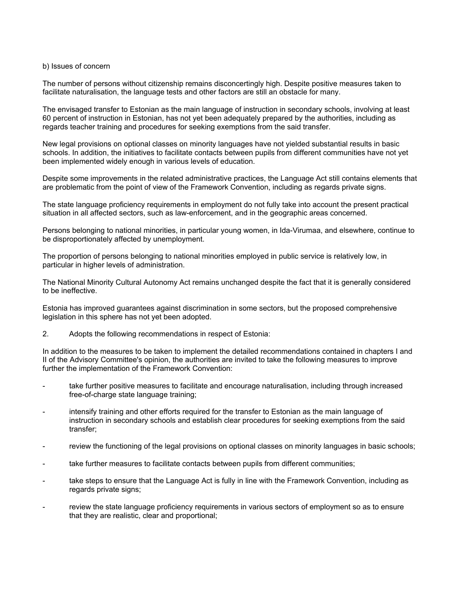## b) Issues of concern

The number of persons without citizenship remains disconcertingly high. Despite positive measures taken to facilitate naturalisation, the language tests and other factors are still an obstacle for many.

The envisaged transfer to Estonian as the main language of instruction in secondary schools, involving at least 60 percent of instruction in Estonian, has not yet been adequately prepared by the authorities, including as regards teacher training and procedures for seeking exemptions from the said transfer.

New legal provisions on optional classes on minority languages have not yielded substantial results in basic schools. In addition, the initiatives to facilitate contacts between pupils from different communities have not yet been implemented widely enough in various levels of education.

Despite some improvements in the related administrative practices, the Language Act still contains elements that are problematic from the point of view of the Framework Convention, including as regards private signs.

The state language proficiency requirements in employment do not fully take into account the present practical situation in all affected sectors, such as law-enforcement, and in the geographic areas concerned.

Persons belonging to national minorities, in particular young women, in Ida-Virumaa, and elsewhere, continue to be disproportionately affected by unemployment.

The proportion of persons belonging to national minorities employed in public service is relatively low, in particular in higher levels of administration.

The National Minority Cultural Autonomy Act remains unchanged despite the fact that it is generally considered to be ineffective.

Estonia has improved guarantees against discrimination in some sectors, but the proposed comprehensive legislation in this sphere has not yet been adopted.

2. Adopts the following recommendations in respect of Estonia:

In addition to the measures to be taken to implement the detailed recommendations contained in chapters I and II of the Advisory Committee's opinion, the authorities are invited to take the following measures to improve further the implementation of the Framework Convention:

- take further positive measures to facilitate and encourage naturalisation, including through increased free-of-charge state language training;
- intensify training and other efforts required for the transfer to Estonian as the main language of instruction in secondary schools and establish clear procedures for seeking exemptions from the said transfer;
- review the functioning of the legal provisions on optional classes on minority languages in basic schools;
- take further measures to facilitate contacts between pupils from different communities;
- take steps to ensure that the Language Act is fully in line with the Framework Convention, including as regards private signs;
- review the state language proficiency requirements in various sectors of employment so as to ensure that they are realistic, clear and proportional;